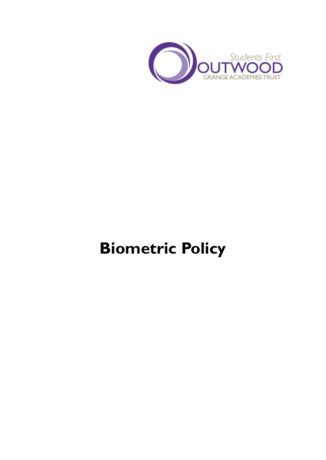

# **Biometric Policy**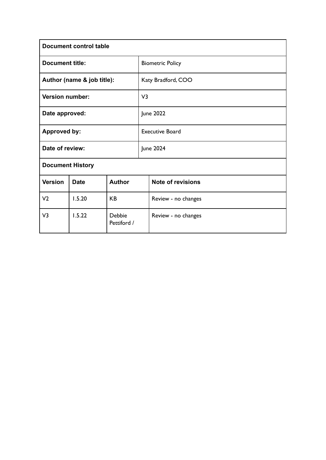| <b>Document control table</b> |                                 |               |                        |                          |  |  |  |  |
|-------------------------------|---------------------------------|---------------|------------------------|--------------------------|--|--|--|--|
| <b>Document title:</b>        |                                 |               |                        | <b>Biometric Policy</b>  |  |  |  |  |
| Author (name & job title):    |                                 |               |                        | Katy Bradford, COO       |  |  |  |  |
| <b>Version number:</b>        |                                 |               |                        | V <sub>3</sub>           |  |  |  |  |
| Date approved:                |                                 |               |                        | <b>June 2022</b>         |  |  |  |  |
| <b>Approved by:</b>           |                                 |               | <b>Executive Board</b> |                          |  |  |  |  |
| Date of review:               |                                 |               | <b>June 2024</b>       |                          |  |  |  |  |
| <b>Document History</b>       |                                 |               |                        |                          |  |  |  |  |
| <b>Version</b>                | <b>Date</b>                     | <b>Author</b> |                        | <b>Note of revisions</b> |  |  |  |  |
| V <sub>2</sub>                | 1.5.20                          | <b>KB</b>     |                        | Review - no changes      |  |  |  |  |
| V3                            | 1.5.22<br>Debbie<br>Pettiford / |               |                        | Review - no changes      |  |  |  |  |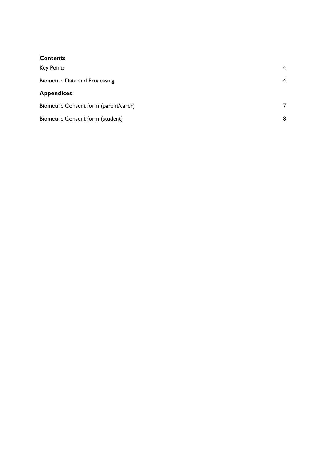### **Contents**

| <b>Key Points</b>                     | $\overline{4}$ |
|---------------------------------------|----------------|
| <b>Biometric Data and Processing</b>  | $\overline{4}$ |
| <b>Appendices</b>                     |                |
| Biometric Consent form (parent/carer) |                |
| Biometric Consent form (student)      | 8              |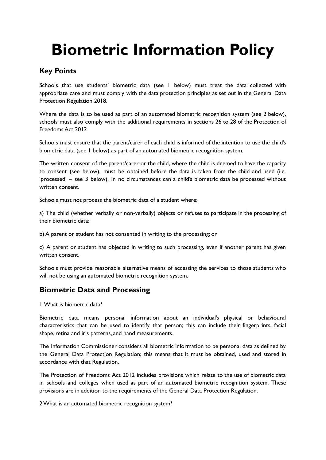## **Biometric Information Policy**

## <span id="page-3-0"></span>**Key Points**

Schools that use students' biometric data (see 1 below) must treat the data collected with appropriate care and must comply with the data protection principles as set out in the General Data Protection Regulation 2018.

Where the data is to be used as part of an automated biometric recognition system (see 2 below), schools must also comply with the additional requirements in sections 26 to 28 of the Protection of Freedoms Act 2012.

Schools must ensure that the parent/carer of each child is informed of the intention to use the child's biometric data (see 1 below) as part of an automated biometric recognition system.

The written consent of the parent/carer or the child, where the child is deemed to have the capacity to consent (see below), must be obtained before the data is taken from the child and used (i.e. 'processed' – see 3 below). In no circumstances can a child's biometric data be processed without written consent.

Schools must not process the biometric data of a student where:

a) The child (whether verbally or non-verbally) objects or refuses to participate in the processing of their biometric data;

b) A parent or student has not consented in writing to the processing; or

c) A parent or student has objected in writing to such processing, even if another parent has given written consent.

Schools must provide reasonable alternative means of accessing the services to those students who will not be using an automated biometric recognition system.

### <span id="page-3-1"></span>**Biometric Data and Processing**

1.What is biometric data?

Biometric data means personal information about an individual's physical or behavioural characteristics that can be used to identify that person; this can include their fingerprints, facial shape, retina and iris patterns, and hand measurements.

The Information Commissioner considers all biometric information to be personal data as defined by the General Data Protection Regulation; this means that it must be obtained, used and stored in accordance with that Regulation.

The Protection of Freedoms Act 2012 includes provisions which relate to the use of biometric data in schools and colleges when used as part of an automated biometric recognition system. These provisions are in addition to the requirements of the General Data Protection Regulation.

2What is an automated biometric recognition system?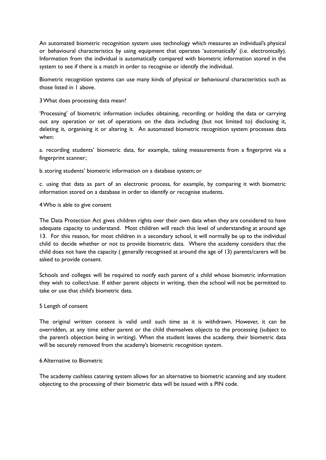An automated biometric recognition system uses technology which measures an individual's physical or behavioural characteristics by using equipment that operates 'automatically' (i.e. electronically). Information from the individual is automatically compared with biometric information stored in the system to see if there is a match in order to recognise or identify the individual.

Biometric recognition systems can use many kinds of physical or behavioural characteristics such as those listed in 1 above.

#### 3What does processing data mean?

'Processing' of biometric information includes obtaining, recording or holding the data or carrying out any operation or set of operations on the data including (but not limited to) disclosing it, deleting it, organising it or altering it. An automated biometric recognition system processes data when:

a. recording students' biometric data, for example, taking measurements from a fingerprint via a fingerprint scanner;

b.storing students' biometric information on a database system; or

c. using that data as part of an electronic process, for example, by comparing it with biometric information stored on a database in order to identify or recognise students.

#### 4Who is able to give consent

The Data Protection Act gives children rights over their own data when they are considered to have adequate capacity to understand. Most children will reach this level of understanding at around age 13. For this reason, for most children in a secondary school, it will normally be up to the individual child to decide whether or not to provide biometric data. Where the academy considers that the child does not have the capacity ( generally recognised at around the age of 13) parents/carers will be asked to provide consent.

Schools and colleges will be required to notify each parent of a child whose biometric information they wish to collect/use. If either parent objects in writing, then the school will not be permitted to take or use that child's biometric data.

#### 5 Length of consent

The original written consent is valid until such time as it is withdrawn. However, it can be overridden, at any time either parent or the child themselves objects to the processing (subject to the parent's objection being in writing). When the student leaves the academy, their biometric data will be securely removed from the academy's biometric recognition system.

#### 6 Alternative to Biometric

The academy cashless catering system allows for an alternative to biometric scanning and any student objecting to the processing of their biometric data will be issued with a PIN code.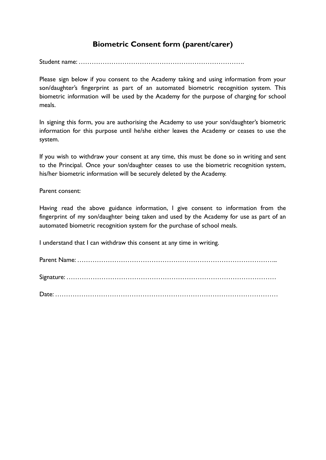## **Biometric Consent form (parent/carer)**

<span id="page-5-0"></span>Student name: ………………………………………………………………….

Please sign below if you consent to the Academy taking and using information from your son/daughter's fingerprint as part of an automated biometric recognition system. This biometric information will be used by the Academy for the purpose of charging for school meals.

In signing this form, you are authorising the Academy to use your son/daughter's biometric information for this purpose until he/she either leaves the Academy or ceases to use the system.

If you wish to withdraw your consent at any time, this must be done so in writing and sent to the Principal. Once your son/daughter ceases to use the biometric recognition system, his/her biometric information will be securely deleted by the Academy.

Parent consent:

Having read the above guidance information, I give consent to information from the fingerprint of my son/daughter being taken and used by the Academy for use as part of an automated biometric recognition system for the purchase of school meals.

I understand that I can withdraw this consent at any time in writing.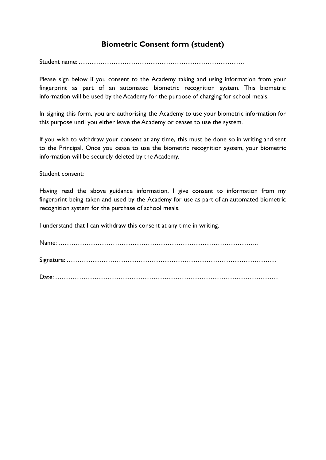## **Biometric Consent form (student)**

<span id="page-6-0"></span>Student name: ………………………………………………………………….

Please sign below if you consent to the Academy taking and using information from your fingerprint as part of an automated biometric recognition system. This biometric information will be used by the Academy for the purpose of charging for school meals.

In signing this form, you are authorising the Academy to use your biometric information for this purpose until you either leave the Academy or ceases to use the system.

If you wish to withdraw your consent at any time, this must be done so in writing and sent to the Principal. Once you cease to use the biometric recognition system, your biometric information will be securely deleted by the Academy.

Student consent:

Having read the above guidance information, I give consent to information from my fingerprint being taken and used by the Academy for use as part of an automated biometric recognition system for the purchase of school meals.

I understand that I can withdraw this consent at any time in writing.